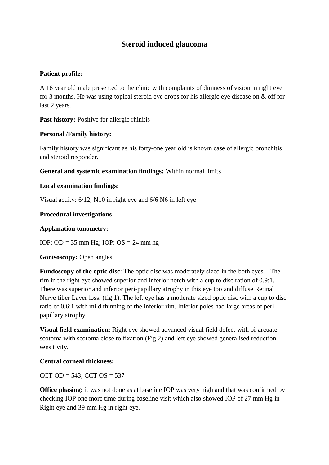# **Steroid induced glaucoma**

### **Patient profile:**

A 16 year old male presented to the clinic with complaints of dimness of vision in right eye for 3 months. He was using topical steroid eye drops for his allergic eye disease on & off for last 2 years.

Past history: Positive for allergic rhinitis

## **Personal /Family history:**

Family history was significant as his forty-one year old is known case of allergic bronchitis and steroid responder.

## **General and systemic examination findings:** Within normal limits

## **Local examination findings:**

Visual acuity: 6/12, N10 in right eye and 6/6 N6 in left eye

## **Procedural investigations**

### **Applanation tonometry:**

IOP: OD =  $35 \text{ mm Hg}$ ; IOP: OS =  $24 \text{ mm hg}$ 

#### **Gonisoscopy:** Open angles

**Fundoscopy of the optic disc**: The optic disc was moderately sized in the both eyes. The rim in the right eye showed superior and inferior notch with a cup to disc ration of 0.9:1. There was superior and inferior peri-papillary atrophy in this eye too and diffuse Retinal Nerve fiber Layer loss. (fig 1). The left eye has a moderate sized optic disc with a cup to disc ratio of 0.6:1 with mild thinning of the inferior rim. Inferior poles had large areas of peri papillary atrophy.

**Visual field examination**: Right eye showed advanced visual field defect with bi-arcuate scotoma with scotoma close to fixation (Fig 2) and left eye showed generalised reduction sensitivity.

## **Central corneal thickness:**

CCT OD =  $543$ ; CCT OS =  $537$ 

**Office phasing:** it was not done as at baseline IOP was very high and that was confirmed by checking IOP one more time during baseline visit which also showed IOP of 27 mm Hg in Right eye and 39 mm Hg in right eye.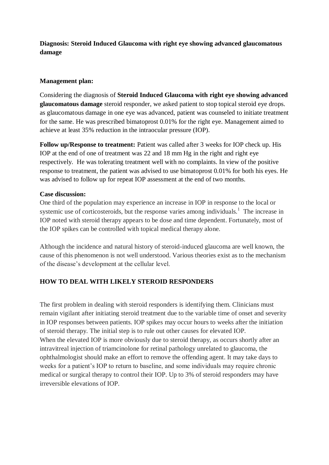## **Diagnosis: Steroid Induced Glaucoma with right eye showing advanced glaucomatous damage**

#### **Management plan:**

Considering the diagnosis of **Steroid Induced Glaucoma with right eye showing advanced glaucomatous damage** steroid responder, we asked patient to stop topical steroid eye drops. as glaucomatous damage in one eye was advanced, patient was counseled to initiate treatment for the same. He was prescribed bimatoprost 0.01% for the right eye. Management aimed to achieve at least 35% reduction in the intraocular pressure (IOP).

**Follow up/Response to treatment:** Patient was called after 3 weeks for IOP check up. His IOP at the end of one of treatment was 22 and 18 mm Hg in the right and right eye respectively. He was tolerating treatment well with no complaints. In view of the positive response to treatment, the patient was advised to use bimatoprost 0.01% for both his eyes. He was advised to follow up for repeat IOP assessment at the end of two months.

#### **Case discussion:**

One third of the population may experience an increase in IOP in response to the local or systemic use of corticosteroids, but the response varies among individuals.<sup>1</sup> The increase in IOP noted with steroid therapy appears to be dose and time dependent. Fortunately, most of the IOP spikes can be controlled with topical medical therapy alone.

Although the incidence and natural history of steroid-induced glaucoma are well known, the cause of this phenomenon is not well understood. Various theories exist as to the mechanism of the disease's development at the cellular level.

## **HOW TO DEAL WITH LIKELY STEROID RESPONDERS**

The first problem in dealing with steroid responders is identifying them. Clinicians must remain vigilant after initiating steroid treatment due to the variable time of onset and severity in IOP responses between patients. IOP spikes may occur hours to weeks after the initiation of steroid therapy. The initial step is to rule out other causes for elevated IOP. When the elevated IOP is more obviously due to steroid therapy, as occurs shortly after an intravitreal injection of triamcinolone for retinal pathology unrelated to glaucoma, the ophthalmologist should make an effort to remove the offending agent. It may take days to weeks for a patient's IOP to return to baseline, and some individuals may require chronic medical or surgical therapy to control their IOP. Up to 3% of steroid responders may have irreversible elevations of IOP.